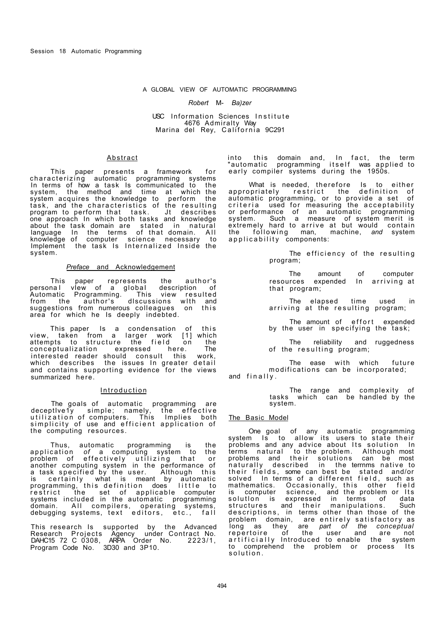### A GLOBAL VIEW OF AUTOMATIC PROGRAMMING

#### *Robert* M- *Ba)zer*

### USC Information Sciences Institute 4676 Admiralty Way Marina del Rey, California 9C291

## Abstract

This paper presents a framework for characterizing automatic programming systems In terms of how a task Is communicated to the system, the method and time at which the system acquires the knowledge to perform the task, and the characteristics of the resulting program to perform that task . Jt describes one approach In which both tasks and knowledge about the task domain are stated in natural language In the terms of that domain. All knowledge of computer science necessary to Implement the task Is Internalized Inside the system.

## *Preface* and Acknowledgement

This paper represents the author's persona I vIew of a globaI description of Automatic Programming. This view resulted from the author's discussions with and suggestions from numerous colleagues on this area for which he Is deeply indebted.

This paper Is a condensation of this view, taken from a larger work [1] which attempts to structure the field on the conceptualization expressed here. The interested reader should consult this work, which describes the issues In greater detail and contains supporting evidence for the views summarized here.

## **Introduction**

The goals of automatic programming are deceptIve1y simple; namely, the effective utilization of computers. This Implies both simplicity of use and efficient application of the computing resources.

Thus, automatic programming is the application *of* a computing system to the problem of effectively utilizing that or another computing system in the performance of a task specified by the user. Although this is certainly what is meant by automatic programming, this definition does little to restrict the set of applicable computer systems included in the automatic programming domain. All compilers, operating systems, debugging systems, text editors, etc., fall

This research Is supported by the Advanced Research Projects Agency under Contract No. DAHC15 72 C 0308, ARPA Order No. 2223/1, Program Code No. 3D30 and 3P10.

into this domain and, In fact, the term "automatic programming itself was applied to early compiler systems during the 1950s.

What is needed, therefore Is to either appropriately restrict the definition of automatic programming, or to provide a set of criteria used for measuring the acceptability or performance of an automatic programming system. Such a measure of system merit is extremely hard to arrive at but would contain the following man, machine, and system applicability components:

> The efficiency of the resulting program;

> The amount of computer resources expended In arriving at that program;

The elapsed time used arriving at the resulting program;

The amount of effort expended by the user in specifying the task;

The reliability and ruggedness of the resulting program;

The ease with which future modifications can be incorporated; and finally .

The range and complexity of tasks which can be handled by the system.

## The Basic Model

One goal of any automatic programming system Is to allow its users to state their problems and any advice about Its solution In terms natural to the problem. Although most problems and their solutions can be most naturally described in the termms native to their fields, some can best be stated and/or solved In terms of a different field, such as mathematics. Occasionally, this other field is computer science, and the problem or Its solutlon is expressed in terms of data structures and their manipulations. Such descriptions, in terms other than those of the problem domain, are entirely satisfactory as long as they are *part of the conceptual*  repertoire of the user and are not artificially Introduced to enable the system to comprehend the problem or process Its solution.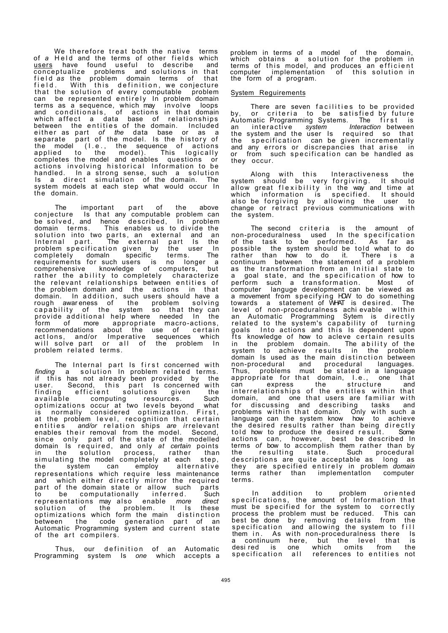We therefore treat both the native terms of *a* Held and the terms of other fields which users have found useful to describe and conceptualize problems and solutions in that fiel d *as* the problem domain terms of that field. With this definition, we conjecture that the solution of every computable problem can be represented entirely In problem domain terms as a sequence, which may involve loops and conditionals, of actions in that domain which affect a data base of relationships between the entities of the domain. Included either as part *of the* data base or as a separate part of the model. Is the history of the model (I.e. , the sequence of actions applied to the model). This logically completes the model and enables questions or actions involving historical Information to be handled. In a strong sense, such a solution Is a direct simulation of the-domain. The system models at each step what would occur In the domain.

The important part of the above conjecture Is that any computable problem can be solved, and hence described, In problem domain terms. This enables us to divide the solution into two parts, an external and an Internal part. The external part Is the problem specification given by the user In completely domaln specific terms. The requirements for such users is no longer a comprehensive knowledge of computers, but rather the ability to completely characterize the relevant relationships between entities of the problem domain and the actions in that domain. In addition, such users should have a rough awar eness of the problem solvin g capability of the system so that-they-can provide additional help where needed In the form of more appropriate macro-actions, recommendations about the use of certain act lons, and/or Imperative sequences which will solve part or all of the problem In problem related terms.

The Internal part Is first concerned with *finding* a solution In problem related terms. if this has not already been provided by the user. Second, this part Is-concerned with finding efficient solutions given the available computing resources. Such optimizations occur at two levels beyond what is normally considered optimization. First, at the problem level, recognition that certain entities *and/or* relation ships *are i*rrelevant enables their removal from the model. Second, since only part of the state of the modelled domain Is required, and only *at certain* points in the solutIon process, rather than simulating the model completely at each step, the system can employ alternative representations which require less maintenance and which either directly mirror the required part of the domain state or allow such parts to be computationally inferred. Such representations may also enable *more direct*  solution of the problem. It Is these optimizations which form the main distinction between the code generation part of an Automatic Programming system and current state of the art compilers .

Thus, our definition of an Automatic Programming system Is *one* which accepts a

problem in terms of a model of the domain, which obtains a solution for the problem in terms of this model, and produces an efficient computer implementation of this solution in the form of a program.

## System Reguirements

There are seven facilities to be provided by, or criteria to be satisfied by future Automatic Programming Systems. The first is an interactive system Interaction-between the system and the user Is required so that the specification can be given incrementally and any errors or discrepancies that arise in or from such specification can be handled as they occur.

Along with this Interactiveness the system should be very forgiving . It should allow great flexibility in the way and time at which information is specified . It should also be forgiving by allowing the user to change or retract previous communications with the system.

The second criteria is the amount of non-proceduralness used In the specification of the task to be performed. As far as possible the system should be told what to do rather than how to do it. There is a continuum between the statement of a problem as the transformation from an Initial state to a goal state, and the specification of how to perform such a transformation. Most of computer languge development can be viewed as a movement from specifying HOW to do something towards a statement of WHAT is desired. The level of non-proceduralness achievable within an Automatic Programming Sytem is directly related to the system's capability of turning goals Into actions and this Is dependent upon fts knowledge of how to acleve certain results in the problem domain. The ability of the system to achieve results in the problem domain Is used as the main distinction between non-procedural and procedural languages. Thus, problems must be stated in a language appropriate for that domain, I.e., one that can express the structure and interrelationships of the entitles within that domain, and one that users are familiar with for discussing and describing tasks and problems within that domain. Only with such a language can the system know how to achieve the desired results rather than being directly told how to produce the desired result. Some actions can, however, best be described In terms *of* bow to accomplish them rather than by the resulting state. Such procedural descriptions are quite acceptable as long as they are specified entirely in problem *domain* terms rather than implementatlon computer terms.

In addition to problem oriented specifications, the amount of Information that must be specified for the system to correctly<br>process the problem must be reduced. This can process the problem must be reduced. best be done by removing details from the specification and allowing the system to fill them in. As with non-proceduralness there Is a continuum here, but the level that is desi red is one which omits from the specification all references to entities not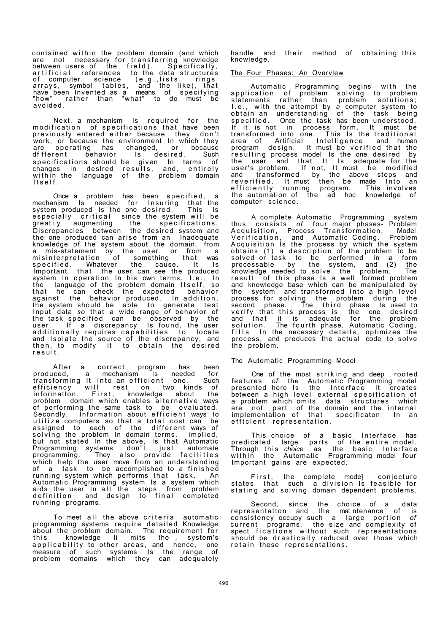contained within the problem domain (and which are not necessary for transferring knowledge between users of the field). Specifically, artificial references to the data-structures of computer science (e.g.,lists, rings, arrays, symbol tables, and the like), that have been Invented as a means of specifying "how" rather than "what" to do must be avoided.

Next, a mechanism Is required for the modification of specifications that have been previously entered either because they don't work, or because the environment In which they are operating has changed, or because dffferent behavior Is desired. Such specifications should be given In terms of changes in deslred results, and, entirely within the language of the problem domain Itself .

Once a problem has been specified, a mechanism Is needed for Insuring that the system produced Is the one desired . This Is especially critical since the system will be greatiy augmenting the specifications. Discrepancies between the desired system and the one produced can arise from an Inadequate knowledge *of* the system about the domain, from a mis-statement by the user, or from a misinterpretation of something that was specified. Whatever the cause. It Is Important that the user can see the produced<br>system In operation In his own terms. I.e., In system In operation In his own terms. I.e. , In the language of the problem domain Itself, so that he can check the expected behavior against the behavior produced. In addition, the system should be able to generate test Input data *so* that a wide range *of* behavior of the task specified can be observed by the user. If a discrepancy Is found, the user additionally requires capabilities to locate and Isolate the source of the discrepancy, and then, to modify it to obtain the desired result .

After a correct program has been produced, a mechanism Is needed for transforming It Into an efficient one. Such efficiency will rest on two kinds of informatlon. First, knowledge about the problem domain which enables alternative ways of performing the same task to be evaluated. Secondly, Information about efficient ways to utilize computers so that a total cost can be assigned to each of the different ways of solving the problem In domain terms. implied, but not stated In the above, Is that Automatic Programming systems don"t just automate programming. They also provide facilitie s which help the user move from an understanding of a task to be accomplished to a finished running system which performs that task. An Automatic Programming system Is a system which aids the user In all the steps from problem definition and design to final completed running programs.

To meet all the above criteria automatic programming systems require detailed Knowledge about the problem domain. The requirement for this knowledge li mits the , system's applicability to other areas, and hence, one measure of such systems Is the range of problem domains which they can adequately handle and their method of obtaining this knowledge.

# The Four Phases: An Overvlew

Automatic Programming begins with the application of problem solving to problem statements rather than problem solutions; I.e., with the attempt by a computer system to obtain an understanding of the task being specified. Once the task has been understood. If it is not in process form. It must be transformed into one. This Is the traditional area of Artificial Intelligence and human program design. It must be verified that the resulting process model Is the one desired by the user and that It Is adequate for the user's problem. If not, It must be modified and transformed by the above steps and reverified. It must then be made Into an efficiently running program. This involves the automation of the ad hoc knowledge of computer science.

A complete Automatic Programming system thus consists of four major phases- Problem Acquisition, Process Transformation, Model Verification, and Automatic Coding. Problem Acquisition Is the process by which the system obtains (1) a description of the problem to be solved or task to be performed In a form processable by the system, and (2) the knowledge needed to solve the problem. The result of this phase Is a well formed problem and knowledge base which can be manipulated by the system and transformed Into a high level process for solving the problem during the second phase. The third phase Is used to verify that this process is the one desired and that it is adequate for the problem solution. The fourth phase, Automatic Coding, fills In the necessary details, optimizes the process, and produces the actual code to solve the problem.

## The Automatic Programming Model

One of the most striking and deep rooted features *of* the Automatic Programming model presented here Is the Interface It creates between a high level external specification of a problem which omits data structures which are not part of the domain and the internal implementation of that specificaton In an efftclent representation.

This choice of a basic Interface has predicated large parts of the entire model. Through this *choice* as the basic Interface within the Automatic Programming model four Important gains are expected.

First, the complete mode] conjecture states that such a division Is feasible for stating and solving domain dependent problems.

Second, since the choice of a data representatton and the mat ntenance of is consistency occupy such a large portion of current programs, the size and complexity of spect fications without such representations should be drastically reduced over those which retain these representations.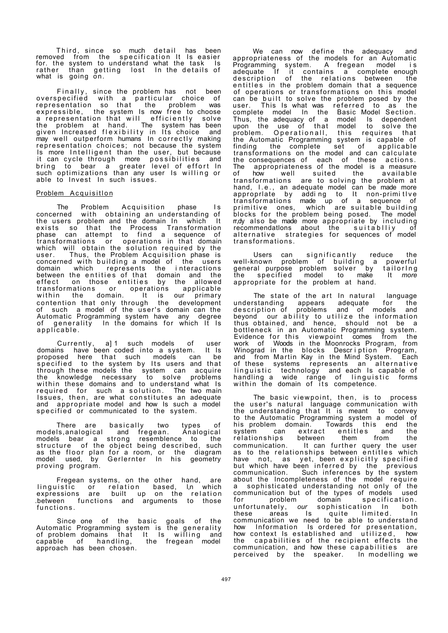Third, since so much detail has been removed from the specification It Is easier for. the system to understand what the task Is rather than getting lost In-the-details-of what is going on.

Finally, since the problem has not been overspecified with a particular choice of representation so that the problem was expressible, the system Is now free to choose a representation that will efficiently solve the problem at hand. The system has been given Increased flexibility in Its choice and may well outperform humans In correctly making representation choices; not because the system Is more Intelligent than the user, but because it can cycle through more possibilities and bring to bear a greater level of effort In such optimizations than any user Is willing or able to Invest In such issues.

#### Problem Acquisitlon

The Problem Acquisition phase Is concerned with obtaining an understanding of the users problem and the domain In which It exists so that the Process Transformation phase can attempt to find a sequence of transformations or operations in that domain which will obtain the solution required by the user. Thus, the Problem Acquisition phase is<br>concerned with building a model of the users concerned with building a model of the users domain which represents the i nteractions between the entities of that domain and the effect on those entities by the allowed transformations or operations applicable within the domain. It is our primary contention that only through the development of such a model of the user's domain can the Automatic Programming system have any degree of generality In the domains for which It Is applicable .

Currently, a]1 such models of user domains have been coded into a system. It Is proposed here that such models can be specified to the system by Its users and that through these models the system can acquire the knowledge necessary to solve problems within these domains and to understand what Is required for such a solution . The two main Issues, then, are what constitutes an adequate and appropriate model and how Is such a model specified or communicated to the system.

There are basically two types of models,analogical and fregean. Analogical models bear a strong resemblence to the structure of the object being described, such as the floor plan for a room, or the diagram model used, by Gerlernter In his geometry proving program.

Fregean systems, on the other hand, are linguistic or relation based, l,n which expressions are built up on the relation between functions and arguments to those functions .

Since one of the basic goals of the Automatic Programming system is the generality of problem domains that It Is willing and capable of handling, the fregean model approach has been chosen.

We can now define the adequacy and appropriateness of the models for an Automatic Programming system. A fregean model i s adequate If it contains a complete enough description of the relations between the entitles in the problem domain that a sequence of operations or transformations on this model can be built to solve the problem posed by the user. This Is what was referred to as the complete model In the Basic Model Section. Thus, the adequacy of a model Is dependent upon the use of that model to solve the problem. Operationall, this requires that the Automatic Programming system is capable of finding the complete set of applicable transformations on the model and can calculate the consequences of each of these actions. The appropriateness of the model is a measure of how well suited the available transformations are to solving the problem at hand, I.e., an adequate model can be made more approprlate by adding to It non-primitlve transformations made up of a sequence of primitive ones, which are-suitable-building blocks for the problem being posed. The model rr,dy also be made more appropriate by includin g recommendations about the suitablliy of alternative strategies for sequences of model transformations .

Users can significantly reduce the<br>well-known problem of building a powerful well-known problem of building a powerful general purpose problem solver by tailorIn g the specified model to make It *more* appropriate for the problem at hand.

The state of the art In natural language<br>Codesiate for the understanding appears adequate for the description of problems and of models and beyond our ability to utilize the information thus obtained, and hence, should not be a bottleneck in an Automatic Programming system. Evidence for this viewpoint comes from the work of Woods in the Moonrocks Program, from Winograd in the blocks Description Program, and from Martin Kay in the Mind System. Each of these systems represents an alternative linguistic technology and each Is capable of handling a wide range of linguistic forms within the domain of its competence.

The basic viewpoint, then, is to process the user's natural language communication with the understanding that It is meant to convey to the Automatic Programming system a model of his problem domain. Towards this end the<br>system can extract entitles and the extract entitles and the<br>between them from the relationships communication. It can further query the user as to the relationships between entitles which have not, as yet, been explicitly specified but which have been inferred by the previous communication. Such inferences by the system about the Incompleteness of the model require a sophisticated understanding not only of the communication but of the types of models used for problem domain specification . unfortunately, *our* sophistication In both these areas Is quite limited. In communication we need to be able to understand how Information Is ordered for presentation, how context Is established and utilized , how the capabilities of the recipient effects the communication, and how these capabilities are perceived by the speaker. In modelling we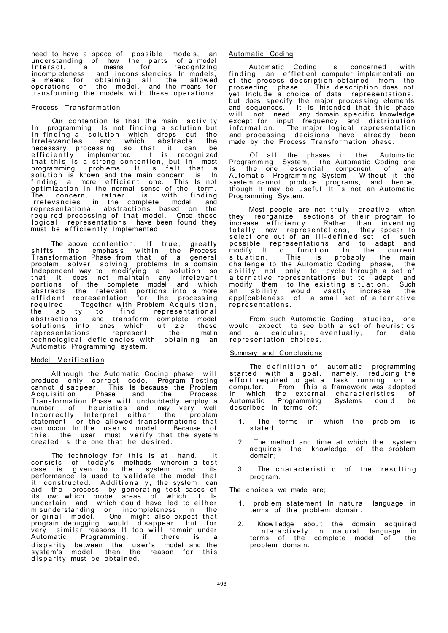need to have a space of possible models, an understanding of how the parts of a-model Interact, a means for recognizing incompleteness and inconsistencies In models, a means for obtaining all the allowed operations on the model, and the-means-for transforming the models with these operations.

# Process Transformation

Our contention Is that the main activity In programming Is not finding a solution but In finding a solution which drops out the Irrelevancles and which abstracts the necessary processing so that it can be efficiently implemented. It is recognized that this Is a strong contention, but In most programming problems It Is felt that a solution is known and the main concern is In finding a more efficient one. This Is not optimization In the normal sense of the term. The concern, rather. is with finding irrelevancies in the complete model and representational abstractions based on the required processing of that model. Once these logical representations have been found they must be efficiently Implemented.

The above contention. If true, greatly shifts the emphasls within the Process Transformation Phase from that of a general problem solver solving problems In a domain Independent way to modifying a solution so that it does not maintain any irrelevant portions of the complete model and which abstracts the relevant portions into a more effident representation for the processing required. Together with Problem Acquisition, the ability to find representational the ability to find representational<br>abstractions and transform complete model<br>solutions into ones which utilize these solutions into ones which utilize these<br>representations represent the matin representations technological deficiencies with obtaining an Automatic Programming system.

#### Model Verification

Although the Automatic Coding phase will produce only correct code. Program-Testing cannot disappear. This Is because the Problem Acquisition Phase and the Process Transformation Phase will undoubtedly employ a number of heuristies and may very well Incorrectly Interpret either the problem statement or the allowed transformations that can occur In the user's model. Because of this, the user must verify that the system created is the one that he desired.

The technology for this is at hand. It consists of today's methods wherein a test case is given to the system and its performance Is used to validate the model that it constructed. Additionally, the system can aid the process by generating test cases of its own which probe areas of which It Is uncertain and which could have led to either misunderstanding or incompleteness in the original model. One might also expect that program debugging would disappear, but for very similar reasons It too will remain under Automatic Programming. if there is a disparity between the user's model and the system's model, then the reason for this disparity must be obtained.

## Automatic Coding

Automatic Coding Is concerned with finding an effletent computer implementati on of the process description obtained from the proceeding phase. This description does not proceeding phase. This description does not<br>yet Include a choice of data representations, but does specify the major processing elements and sequences. It is intended that this phase will not need any domain specific knowledge except for input frequency and distribution information. The major logical representation and processing decisions have already been made by the Process Transformation phase.

Of all the phases in the Automatic Programming System, the Automatic Coding one is the one essential component of any Automatic Programming System. Without it the system cannot produce programs, and hence, though It may be useful It Is not an Automatic Programming System.

Most people are not truly creative when they reorganize sections of their program to increase efficiency . Rather than inventlng totally new representations, they-appear-to select one out of an III-defined set of such possible representations and to adapt and modify It to function In the current situation . This is probably the main challenge to the Automatic Coding phase, the ability not only to cycle through a set of alternative representations but to adapt and modify them to the existing situation. Such an ability would vastly increase the appl[cableness of a small set of alternative representations .

From such Automatic Coding studies, one would expect to see both a set of heuristics and a calculus, eventually, for data representation choices .

# **Summary and Conclusions**

The definition of automatic programming started with a goal, namely, reducing the effort required to get a task running on a computer. From this a framework was adopted in which the external characteristics of<br>Automatic Programming Systems could be Programming described in terms of:

- 1. The terms in which the problem is stated ;
- 2. The method and time at which the system acquires the knowledge of the problem domain;
- 3. The characteristi c of the resulting program.

The choices we made are;

- 1. problem statement In natural language in terms of the problem domain.
- 2. Knowledge about the domain acquired i nteractively in natural language in terms of the complete model of the problem domaln.